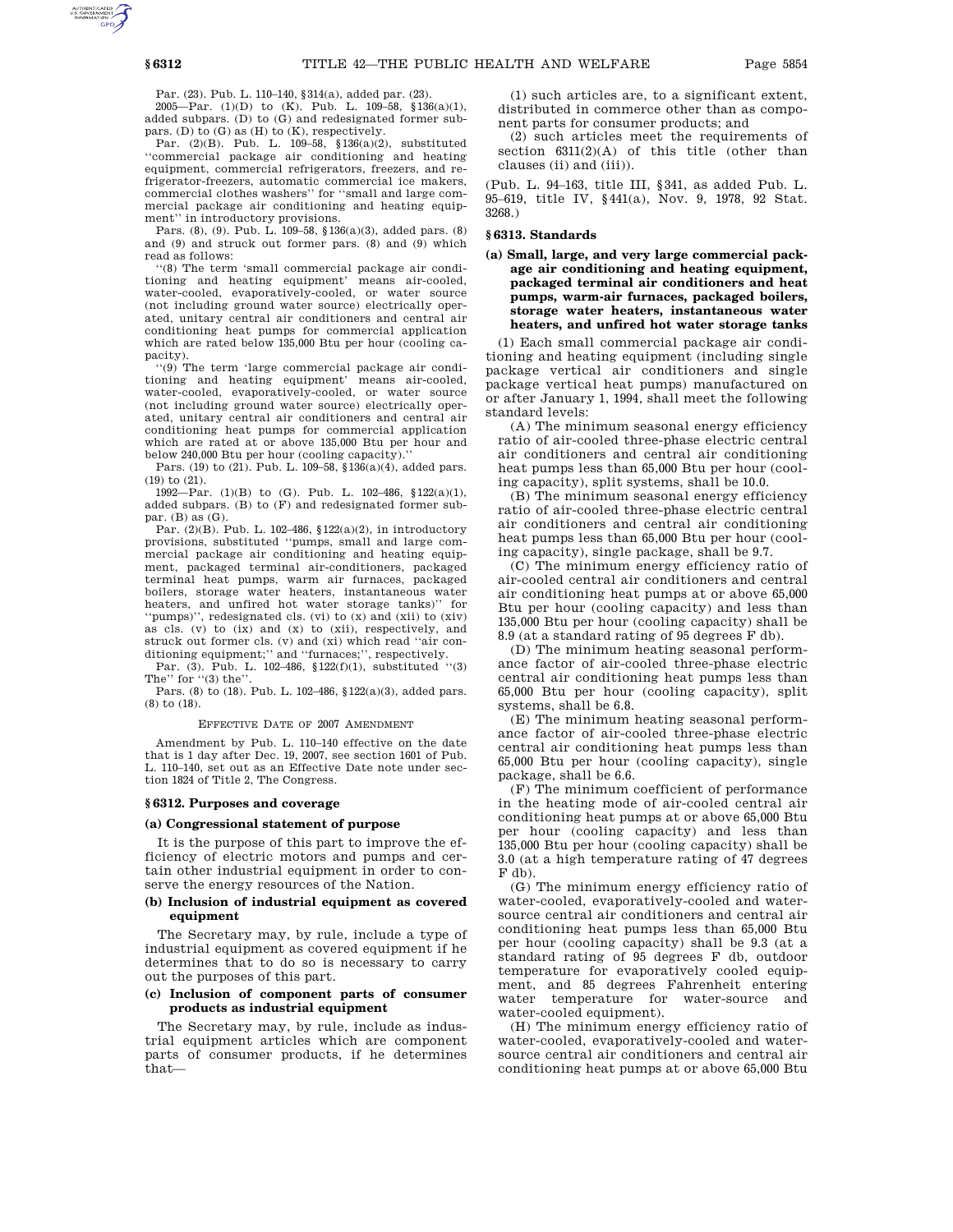Par. (23). Pub. L. 110–140, §314(a), added par. (23).

2005—Par. (1)(D) to (K). Pub. L. 109–58, §136(a)(1), added subpars. (D) to (G) and redesignated former subpars. (D) to  $(G)$  as  $(H)$  to  $(K)$ , respectively.

Par. (2)(B). Pub. L. 109–58, §136(a)(2), substituted ''commercial package air conditioning and heating equipment, commercial refrigerators, freezers, and refrigerator-freezers, automatic commercial ice makers, commercial clothes washers'' for ''small and large commercial package air conditioning and heating equipment'' in introductory provisions.

Pars. (8), (9). Pub. L. 109–58, §136(a)(3), added pars. (8) and (9) and struck out former pars. (8) and (9) which read as follows:

''(8) The term 'small commercial package air conditioning and heating equipment' means air-cooled, water-cooled, evaporatively-cooled, or water source (not including ground water source) electrically operated, unitary central air conditioners and central air conditioning heat pumps for commercial application which are rated below 135,000 Btu per hour (cooling capacity).

''(9) The term 'large commercial package air conditioning and heating equipment' means air-cooled, water-cooled, evaporatively-cooled, or water source (not including ground water source) electrically operated, unitary central air conditioners and central air conditioning heat pumps for commercial application which are rated at or above 135,000 Btu per hour and below  $240,000$  Btu per hour (cooling capacity).

Pars. (19) to (21). Pub. L. 109–58, §136(a)(4), added pars. (19) to (21).

1992—Par. (1)(B) to (G). Pub. L. 102–486, §122(a)(1), added subpars. (B) to (F) and redesignated former subpar. (B) as (G).

Par. (2)(B). Pub. L. 102–486, §122(a)(2), in introductory provisions, substituted ''pumps, small and large commercial package air conditioning and heating equipment, packaged terminal air-conditioners, packaged terminal heat pumps, warm air furnaces, packaged boilers, storage water heaters, instantaneous water heaters, and unfired hot water storage tanks)'' for ''pumps)'', redesignated cls. (vi) to (x) and (xii) to (xiv) as cls. (v) to (ix) and (x) to (xii), respectively, and struck out former cls. (v) and (xi) which read ''air conditioning equipment;'' and ''furnaces;'', respectively.

Par. (3). Pub. L. 102–486, §122(f)(1), substituted ''(3) The'' for ''(3) the''.

Pars. (8) to (18). Pub. L. 102–486, §122(a)(3), added pars. (8) to (18).

EFFECTIVE DATE OF 2007 AMENDMENT

Amendment by Pub. L. 110–140 effective on the date that is 1 day after Dec. 19, 2007, see section 1601 of Pub. L. 110–140, set out as an Effective Date note under section 1824 of Title 2, The Congress.

#### **§ 6312. Purposes and coverage**

### **(a) Congressional statement of purpose**

It is the purpose of this part to improve the efficiency of electric motors and pumps and certain other industrial equipment in order to conserve the energy resources of the Nation.

### **(b) Inclusion of industrial equipment as covered equipment**

The Secretary may, by rule, include a type of industrial equipment as covered equipment if he determines that to do so is necessary to carry out the purposes of this part.

# **(c) Inclusion of component parts of consumer products as industrial equipment**

The Secretary may, by rule, include as industrial equipment articles which are component parts of consumer products, if he determines that—

(1) such articles are, to a significant extent, distributed in commerce other than as component parts for consumer products; and

(2) such articles meet the requirements of section  $6311(2)(A)$  of this title (other than clauses (ii) and (iii)).

(Pub. L. 94–163, title III, §341, as added Pub. L. 95–619, title IV, §441(a), Nov. 9, 1978, 92 Stat. 3268.)

#### **§ 6313. Standards**

# **(a) Small, large, and very large commercial package air conditioning and heating equipment, packaged terminal air conditioners and heat pumps, warm-air furnaces, packaged boilers, storage water heaters, instantaneous water heaters, and unfired hot water storage tanks**

(1) Each small commercial package air conditioning and heating equipment (including single package vertical air conditioners and single package vertical heat pumps) manufactured on or after January 1, 1994, shall meet the following standard levels:

(A) The minimum seasonal energy efficiency ratio of air-cooled three-phase electric central air conditioners and central air conditioning heat pumps less than 65,000 Btu per hour (cooling capacity), split systems, shall be 10.0.

(B) The minimum seasonal energy efficiency ratio of air-cooled three-phase electric central air conditioners and central air conditioning heat pumps less than 65,000 Btu per hour (cooling capacity), single package, shall be 9.7.

(C) The minimum energy efficiency ratio of air-cooled central air conditioners and central air conditioning heat pumps at or above 65,000 Btu per hour (cooling capacity) and less than 135,000 Btu per hour (cooling capacity) shall be 8.9 (at a standard rating of 95 degrees F db).

(D) The minimum heating seasonal performance factor of air-cooled three-phase electric central air conditioning heat pumps less than 65,000 Btu per hour (cooling capacity), split systems, shall be 6.8.

(E) The minimum heating seasonal performance factor of air-cooled three-phase electric central air conditioning heat pumps less than 65,000 Btu per hour (cooling capacity), single package, shall be 6.6.

(F) The minimum coefficient of performance in the heating mode of air-cooled central air conditioning heat pumps at or above 65,000 Btu per hour (cooling capacity) and less than 135,000 Btu per hour (cooling capacity) shall be 3.0 (at a high temperature rating of 47 degrees F db).

(G) The minimum energy efficiency ratio of water-cooled, evaporatively-cooled and watersource central air conditioners and central air conditioning heat pumps less than 65,000 Btu per hour (cooling capacity) shall be 9.3 (at a standard rating of 95 degrees F db, outdoor temperature for evaporatively cooled equipment, and 85 degrees Fahrenheit entering water temperature for water-source and water-cooled equipment).

(H) The minimum energy efficiency ratio of water-cooled, evaporatively-cooled and watersource central air conditioners and central air conditioning heat pumps at or above 65,000 Btu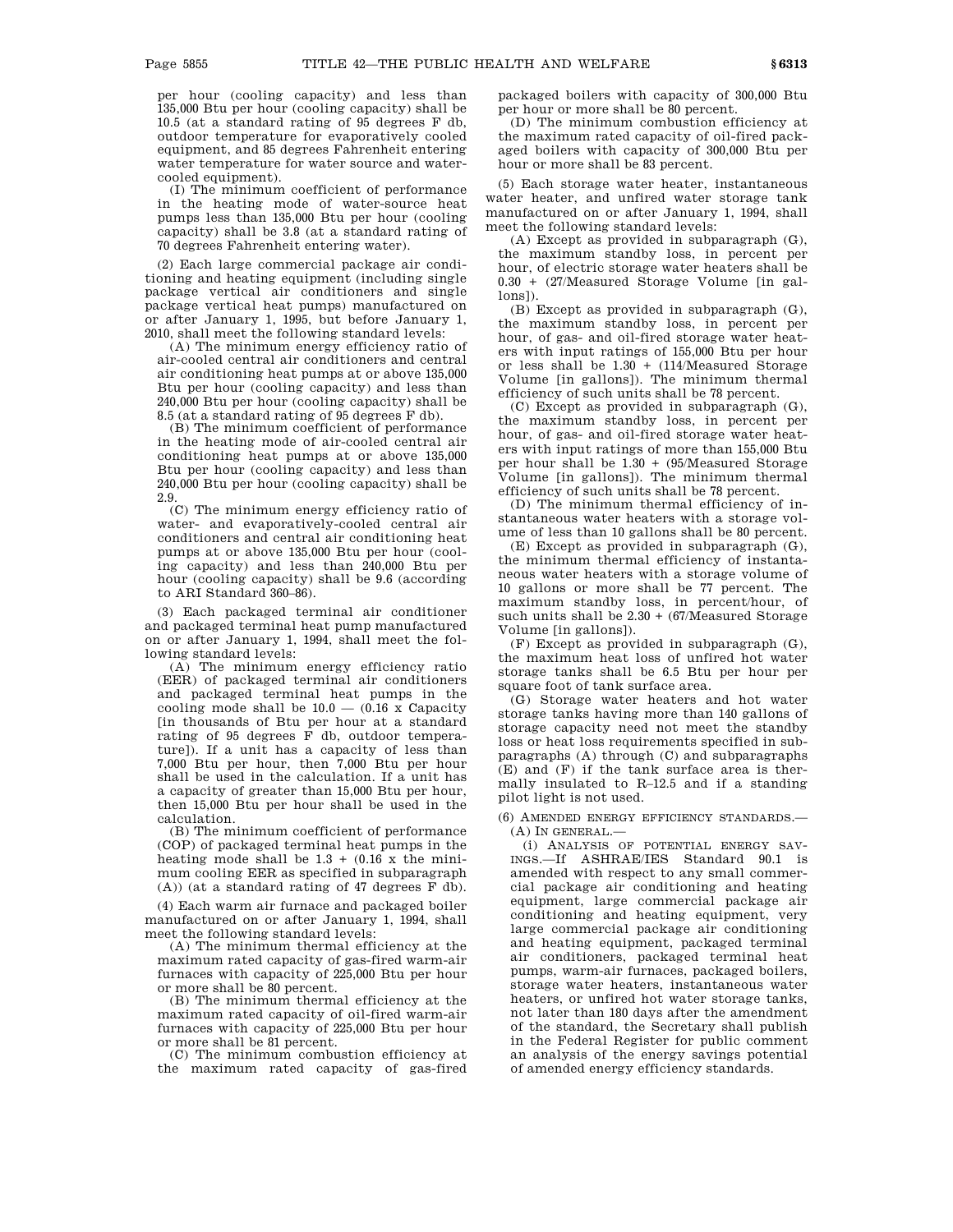per hour (cooling capacity) and less than 135,000 Btu per hour (cooling capacity) shall be 10.5 (at a standard rating of 95 degrees F db, outdoor temperature for evaporatively cooled equipment, and 85 degrees Fahrenheit entering water temperature for water source and watercooled equipment).

(I) The minimum coefficient of performance in the heating mode of water-source heat pumps less than 135,000 Btu per hour (cooling capacity) shall be 3.8 (at a standard rating of 70 degrees Fahrenheit entering water).

(2) Each large commercial package air conditioning and heating equipment (including single package vertical air conditioners and single package vertical heat pumps) manufactured on or after January 1, 1995, but before January 1, 2010, shall meet the following standard levels:

(A) The minimum energy efficiency ratio of air-cooled central air conditioners and central air conditioning heat pumps at or above 135,000 Btu per hour (cooling capacity) and less than 240,000 Btu per hour (cooling capacity) shall be 8.5 (at a standard rating of 95 degrees F db).

(B) The minimum coefficient of performance in the heating mode of air-cooled central air conditioning heat pumps at or above 135,000 Btu per hour (cooling capacity) and less than 240,000 Btu per hour (cooling capacity) shall be 2.9.

(C) The minimum energy efficiency ratio of water- and evaporatively-cooled central air conditioners and central air conditioning heat pumps at or above 135,000 Btu per hour (cooling capacity) and less than 240,000 Btu per hour (cooling capacity) shall be 9.6 (according to ARI Standard 360–86).

(3) Each packaged terminal air conditioner and packaged terminal heat pump manufactured on or after January 1, 1994, shall meet the following standard levels:

(A) The minimum energy efficiency ratio (EER) of packaged terminal air conditioners and packaged terminal heat pumps in the cooling mode shall be  $10.0 - (0.16 \times \text{Capacity})$ [in thousands of Btu per hour at a standard rating of 95 degrees F db, outdoor temperature]). If a unit has a capacity of less than 7,000 Btu per hour, then 7,000 Btu per hour shall be used in the calculation. If a unit has a capacity of greater than 15,000 Btu per hour, then 15,000 Btu per hour shall be used in the calculation.

(B) The minimum coefficient of performance (COP) of packaged terminal heat pumps in the heating mode shall be  $1.3 + (0.16 \times$  the minimum cooling EER as specified in subparagraph (A)) (at a standard rating of 47 degrees F db).

(4) Each warm air furnace and packaged boiler manufactured on or after January 1, 1994, shall meet the following standard levels:

(A) The minimum thermal efficiency at the maximum rated capacity of gas-fired warm-air furnaces with capacity of 225,000 Btu per hour or more shall be 80 percent.

(B) The minimum thermal efficiency at the maximum rated capacity of oil-fired warm-air furnaces with capacity of 225,000 Btu per hour or more shall be 81 percent.

(C) The minimum combustion efficiency at the maximum rated capacity of gas-fired packaged boilers with capacity of 300,000 Btu per hour or more shall be 80 percent.

(D) The minimum combustion efficiency at the maximum rated capacity of oil-fired packaged boilers with capacity of 300,000 Btu per hour or more shall be 83 percent.

(5) Each storage water heater, instantaneous water heater, and unfired water storage tank manufactured on or after January 1, 1994, shall meet the following standard levels:

(A) Except as provided in subparagraph (G), the maximum standby loss, in percent per hour, of electric storage water heaters shall be 0.30 + (27/Measured Storage Volume [in gallons]).

(B) Except as provided in subparagraph (G), the maximum standby loss, in percent per hour, of gas- and oil-fired storage water heaters with input ratings of 155,000 Btu per hour or less shall be 1.30 + (114/Measured Storage Volume [in gallons]). The minimum thermal efficiency of such units shall be 78 percent.

(C) Except as provided in subparagraph (G), the maximum standby loss, in percent per hour, of gas- and oil-fired storage water heaters with input ratings of more than 155,000 Btu per hour shall be 1.30 + (95/Measured Storage Volume [in gallons]). The minimum thermal efficiency of such units shall be 78 percent.

(D) The minimum thermal efficiency of instantaneous water heaters with a storage volume of less than 10 gallons shall be 80 percent.

(E) Except as provided in subparagraph (G), the minimum thermal efficiency of instantaneous water heaters with a storage volume of 10 gallons or more shall be 77 percent. The maximum standby loss, in percent/hour, of such units shall be  $2.30 + (67)$  Measured Storage Volume [in gallons]).

(F) Except as provided in subparagraph (G), the maximum heat loss of unfired hot water storage tanks shall be 6.5 Btu per hour per square foot of tank surface area.

(G) Storage water heaters and hot water storage tanks having more than 140 gallons of storage capacity need not meet the standby loss or heat loss requirements specified in subparagraphs (A) through (C) and subparagraphs (E) and (F) if the tank surface area is thermally insulated to R–12.5 and if a standing pilot light is not used.

(6) AMENDED ENERGY EFFICIENCY STANDARDS.— (A) IN GENERAL.—

(i) ANALYSIS OF POTENTIAL ENERGY SAV-INGS.—If ASHRAE/IES Standard 90.1 is amended with respect to any small commercial package air conditioning and heating equipment, large commercial package air conditioning and heating equipment, very large commercial package air conditioning and heating equipment, packaged terminal air conditioners, packaged terminal heat pumps, warm-air furnaces, packaged boilers, storage water heaters, instantaneous water heaters, or unfired hot water storage tanks, not later than 180 days after the amendment of the standard, the Secretary shall publish in the Federal Register for public comment an analysis of the energy savings potential of amended energy efficiency standards.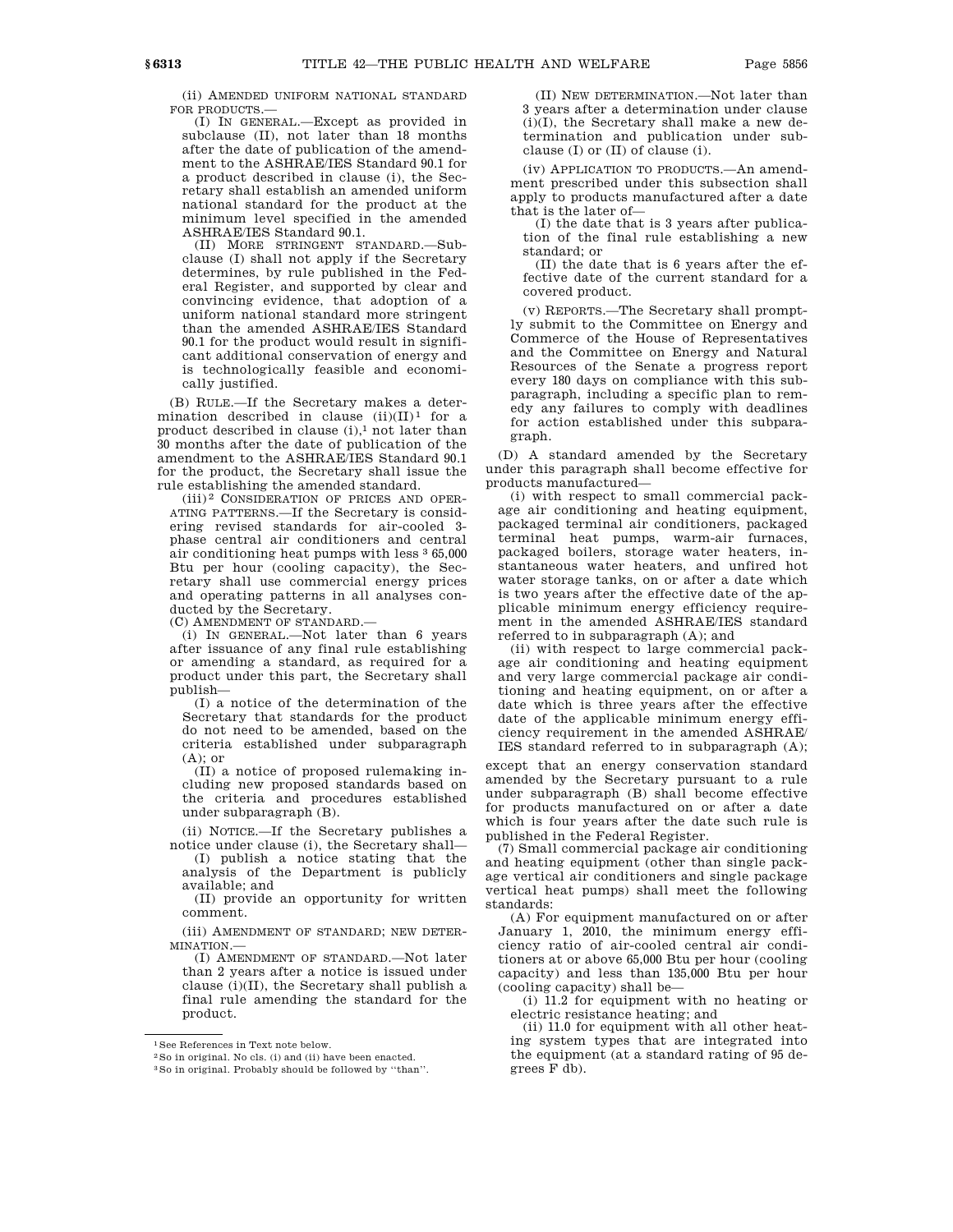(ii) AMENDED UNIFORM NATIONAL STANDARD FOR PRODUCTS.—

(I) IN GENERAL.—Except as provided in subclause (II), not later than 18 months after the date of publication of the amendment to the ASHRAE/IES Standard 90.1 for a product described in clause (i), the Secretary shall establish an amended uniform national standard for the product at the minimum level specified in the amended ASHRAE/IES Standard 90.1.

(II) MORE STRINGENT STANDARD.—Subclause (I) shall not apply if the Secretary determines, by rule published in the Federal Register, and supported by clear and convincing evidence, that adoption of a uniform national standard more stringent than the amended ASHRAE/IES Standard 90.1 for the product would result in significant additional conservation of energy and is technologically feasible and economically justified.

(B) RULE.—If the Secretary makes a determination described in clause  $(\rm ii)(\rm II)^1$  for a product described in clause  $(i)$ ,<sup>1</sup> not later than 30 months after the date of publication of the amendment to the ASHRAE/IES Standard 90.1 for the product, the Secretary shall issue the rule establishing the amended standard.

(iii) 2 CONSIDERATION OF PRICES AND OPER-ATING PATTERNS.—If the Secretary is considering revised standards for air-cooled 3 phase central air conditioners and central air conditioning heat pumps with less 3 65,000 Btu per hour (cooling capacity), the Secretary shall use commercial energy prices and operating patterns in all analyses conducted by the Secretary.

(C) AMENDMENT OF STANDARD.—

(i) IN GENERAL.—Not later than 6 years after issuance of any final rule establishing or amending a standard, as required for a product under this part, the Secretary shall publish—

(I) a notice of the determination of the Secretary that standards for the product do not need to be amended, based on the criteria established under subparagraph (A); or

(II) a notice of proposed rulemaking including new proposed standards based on the criteria and procedures established under subparagraph (B).

(ii) NOTICE.—If the Secretary publishes a notice under clause (i), the Secretary shall—

(I) publish a notice stating that the analysis of the Department is publicly available; and

(II) provide an opportunity for written comment.

(iii) AMENDMENT OF STANDARD; NEW DETER-MINATION.—

(I) AMENDMENT OF STANDARD.—Not later than 2 years after a notice is issued under clause (i)(II), the Secretary shall publish a final rule amending the standard for the product.

(II) NEW DETERMINATION.—Not later than 3 years after a determination under clause (i)(I), the Secretary shall make a new determination and publication under subclause (I) or (II) of clause (i).

(iv) APPLICATION TO PRODUCTS.—An amendment prescribed under this subsection shall apply to products manufactured after a date that is the later of—

(I) the date that is 3 years after publication of the final rule establishing a new standard; or

(II) the date that is 6 years after the effective date of the current standard for a covered product.

(v) REPORTS.—The Secretary shall promptly submit to the Committee on Energy and Commerce of the House of Representatives and the Committee on Energy and Natural Resources of the Senate a progress report every 180 days on compliance with this subparagraph, including a specific plan to remedy any failures to comply with deadlines for action established under this subparagraph.

(D) A standard amended by the Secretary under this paragraph shall become effective for products manufactured—

(i) with respect to small commercial package air conditioning and heating equipment, packaged terminal air conditioners, packaged terminal heat pumps, warm-air furnaces, packaged boilers, storage water heaters, instantaneous water heaters, and unfired hot water storage tanks, on or after a date which is two years after the effective date of the applicable minimum energy efficiency requirement in the amended ASHRAE/IES standard referred to in subparagraph (A); and

(ii) with respect to large commercial package air conditioning and heating equipment and very large commercial package air conditioning and heating equipment, on or after a date which is three years after the effective date of the applicable minimum energy efficiency requirement in the amended ASHRAE/ IES standard referred to in subparagraph (A);

except that an energy conservation standard amended by the Secretary pursuant to a rule under subparagraph (B) shall become effective for products manufactured on or after a date which is four years after the date such rule is published in the Federal Register.

(7) Small commercial package air conditioning and heating equipment (other than single package vertical air conditioners and single package vertical heat pumps) shall meet the following standards:

(A) For equipment manufactured on or after January 1, 2010, the minimum energy efficiency ratio of air-cooled central air conditioners at or above 65,000 Btu per hour (cooling capacity) and less than 135,000 Btu per hour (cooling capacity) shall be—

(i) 11.2 for equipment with no heating or electric resistance heating; and

(ii) 11.0 for equipment with all other heating system types that are integrated into the equipment (at a standard rating of 95 degrees F db).

<sup>1</sup>See References in Text note below.

<sup>2</sup>So in original. No cls. (i) and (ii) have been enacted.

<sup>3</sup>So in original. Probably should be followed by ''than''.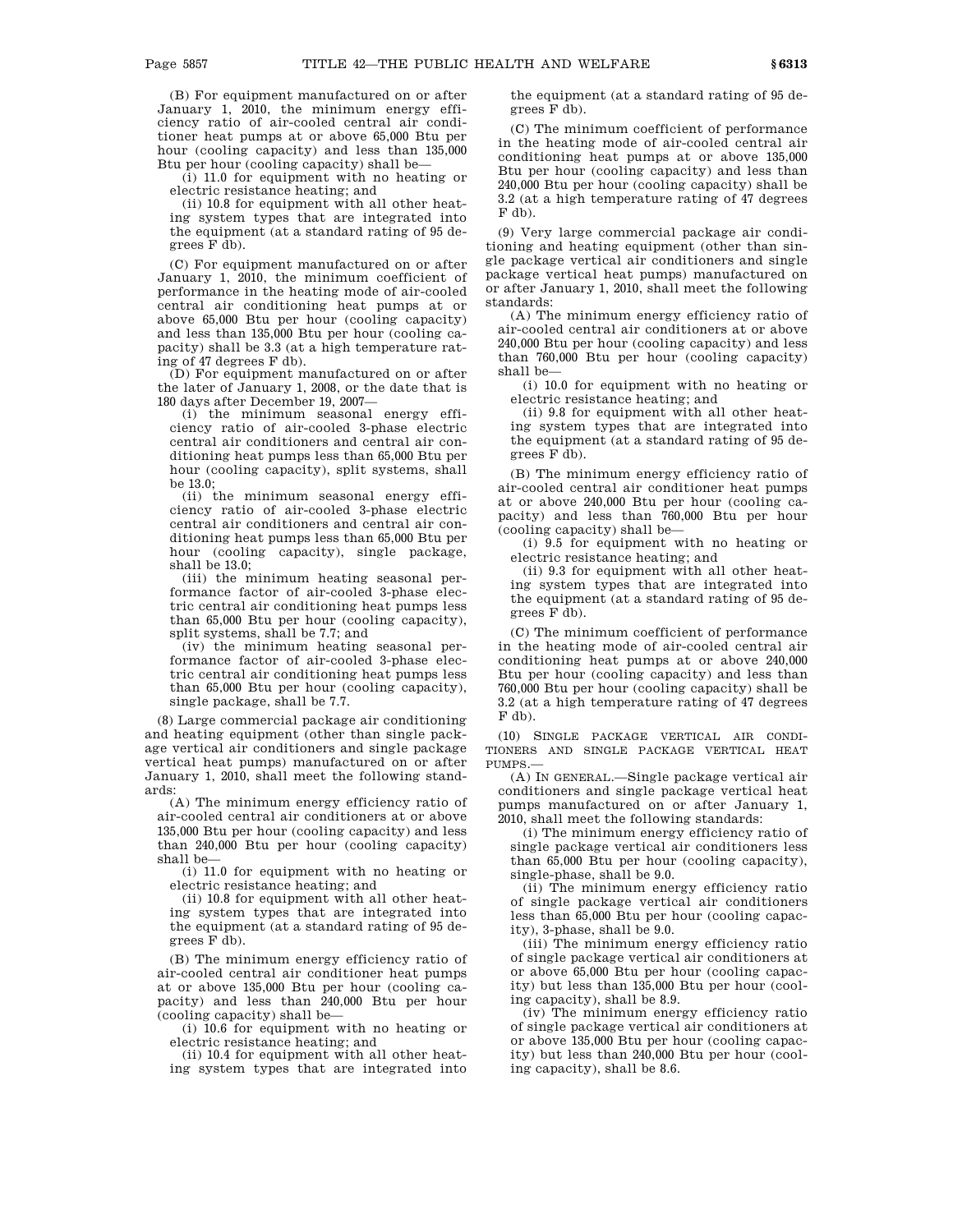(B) For equipment manufactured on or after January 1, 2010, the minimum energy efficiency ratio of air-cooled central air conditioner heat pumps at or above 65,000 Btu per hour (cooling capacity) and less than 135,000 Btu per hour (cooling capacity) shall be—

(i) 11.0 for equipment with no heating or electric resistance heating; and

(ii) 10.8 for equipment with all other heating system types that are integrated into the equipment (at a standard rating of 95 degrees F db).

(C) For equipment manufactured on or after January 1, 2010, the minimum coefficient of performance in the heating mode of air-cooled central air conditioning heat pumps at or above 65,000 Btu per hour (cooling capacity) and less than 135,000 Btu per hour (cooling capacity) shall be 3.3 (at a high temperature rating of 47 degrees F db).

(D) For equipment manufactured on or after the later of January 1, 2008, or the date that is 180 days after December 19, 2007—

(i) the minimum seasonal energy efficiency ratio of air-cooled 3-phase electric central air conditioners and central air conditioning heat pumps less than 65,000 Btu per hour (cooling capacity), split systems, shall be 13.0;

(ii) the minimum seasonal energy efficiency ratio of air-cooled 3-phase electric central air conditioners and central air conditioning heat pumps less than 65,000 Btu per hour (cooling capacity), single package, shall be 13.0;

(iii) the minimum heating seasonal performance factor of air-cooled 3-phase electric central air conditioning heat pumps less than 65,000 Btu per hour (cooling capacity), split systems, shall be 7.7; and

(iv) the minimum heating seasonal performance factor of air-cooled 3-phase electric central air conditioning heat pumps less than 65,000 Btu per hour (cooling capacity), single package, shall be 7.7.

(8) Large commercial package air conditioning and heating equipment (other than single package vertical air conditioners and single package vertical heat pumps) manufactured on or after January 1, 2010, shall meet the following standards:

(A) The minimum energy efficiency ratio of air-cooled central air conditioners at or above 135,000 Btu per hour (cooling capacity) and less than 240,000 Btu per hour (cooling capacity) shall be—

(i) 11.0 for equipment with no heating or electric resistance heating; and

(ii) 10.8 for equipment with all other heating system types that are integrated into the equipment (at a standard rating of 95 degrees F db).

(B) The minimum energy efficiency ratio of air-cooled central air conditioner heat pumps at or above 135,000 Btu per hour (cooling capacity) and less than 240,000 Btu per hour (cooling capacity) shall be—

(i) 10.6 for equipment with no heating or electric resistance heating; and

(ii) 10.4 for equipment with all other heating system types that are integrated into the equipment (at a standard rating of 95 degrees F db).

(C) The minimum coefficient of performance in the heating mode of air-cooled central air conditioning heat pumps at or above 135,000 Btu per hour (cooling capacity) and less than 240,000 Btu per hour (cooling capacity) shall be 3.2 (at a high temperature rating of 47 degrees F db).

(9) Very large commercial package air conditioning and heating equipment (other than single package vertical air conditioners and single package vertical heat pumps) manufactured on or after January 1, 2010, shall meet the following standards:

(A) The minimum energy efficiency ratio of air-cooled central air conditioners at or above 240,000 Btu per hour (cooling capacity) and less than 760,000 Btu per hour (cooling capacity) shall be—

(i) 10.0 for equipment with no heating or electric resistance heating; and

(ii) 9.8 for equipment with all other heating system types that are integrated into the equipment (at a standard rating of 95 degrees F db).

(B) The minimum energy efficiency ratio of air-cooled central air conditioner heat pumps at or above 240,000 Btu per hour (cooling capacity) and less than 760,000 Btu per hour (cooling capacity) shall be—

(i) 9.5 for equipment with no heating or electric resistance heating; and

(ii) 9.3 for equipment with all other heating system types that are integrated into the equipment (at a standard rating of 95 degrees F db).

(C) The minimum coefficient of performance in the heating mode of air-cooled central air conditioning heat pumps at or above 240,000 Btu per hour (cooling capacity) and less than 760,000 Btu per hour (cooling capacity) shall be 3.2 (at a high temperature rating of 47 degrees F db).

(10) SINGLE PACKAGE VERTICAL AIR CONDI-TIONERS AND SINGLE PACKAGE VERTICAL HEAT PUMPS.—

(A) IN GENERAL.—Single package vertical air conditioners and single package vertical heat pumps manufactured on or after January 1, 2010, shall meet the following standards:

(i) The minimum energy efficiency ratio of single package vertical air conditioners less than 65,000 Btu per hour (cooling capacity), single-phase, shall be 9.0.

(ii) The minimum energy efficiency ratio of single package vertical air conditioners less than 65,000 Btu per hour (cooling capacity), 3-phase, shall be 9.0.

(iii) The minimum energy efficiency ratio of single package vertical air conditioners at or above 65,000 Btu per hour (cooling capacity) but less than 135,000 Btu per hour (cooling capacity), shall be 8.9.

(iv) The minimum energy efficiency ratio of single package vertical air conditioners at or above 135,000 Btu per hour (cooling capacity) but less than 240,000 Btu per hour (cooling capacity), shall be 8.6.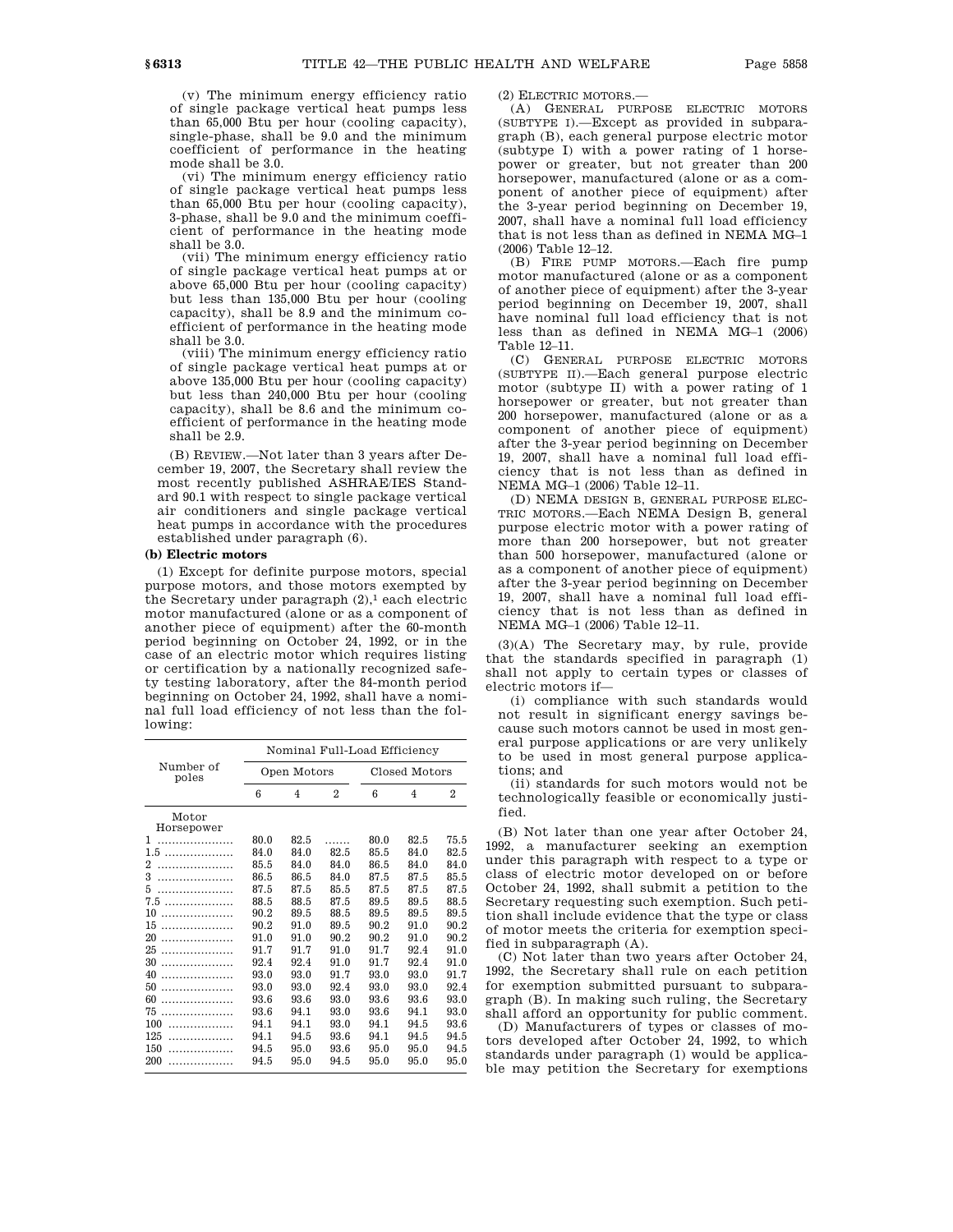(v) The minimum energy efficiency ratio of single package vertical heat pumps less than 65,000 Btu per hour (cooling capacity), single-phase, shall be 9.0 and the minimum coefficient of performance in the heating mode shall be 3.0.

(vi) The minimum energy efficiency ratio of single package vertical heat pumps less than 65,000 Btu per hour (cooling capacity), 3-phase, shall be 9.0 and the minimum coefficient of performance in the heating mode shall be 3.0.

(vii) The minimum energy efficiency ratio of single package vertical heat pumps at or above 65,000 Btu per hour (cooling capacity) but less than 135,000 Btu per hour (cooling capacity), shall be 8.9 and the minimum coefficient of performance in the heating mode shall be 3.0.

(viii) The minimum energy efficiency ratio of single package vertical heat pumps at or above 135,000 Btu per hour (cooling capacity) but less than 240,000 Btu per hour (cooling capacity), shall be 8.6 and the minimum coefficient of performance in the heating mode shall be 2.9.

(B) REVIEW.—Not later than 3 years after December 19, 2007, the Secretary shall review the most recently published ASHRAE/IES Standard 90.1 with respect to single package vertical air conditioners and single package vertical heat pumps in accordance with the procedures established under paragraph (6).

### **(b) Electric motors**

(1) Except for definite purpose motors, special purpose motors, and those motors exempted by the Secretary under paragraph  $(2)$ ,<sup>1</sup> each electric motor manufactured (alone or as a component of another piece of equipment) after the 60-month period beginning on October 24, 1992, or in the case of an electric motor which requires listing or certification by a nationally recognized safety testing laboratory, after the 84-month period beginning on October 24, 1992, shall have a nominal full load efficiency of not less than the following:

|                     | Nominal Full-Load Efficiency |      |                |               |      |      |  |
|---------------------|------------------------------|------|----------------|---------------|------|------|--|
| Number of<br>poles  | Open Motors                  |      |                | Closed Motors |      |      |  |
|                     | 6                            | 4    | $\overline{2}$ | 6             | 4    | 2    |  |
| Motor<br>Horsepower |                              |      |                |               |      |      |  |
| 1                   | 80.0                         | 82.5 |                | 80.0          | 82.5 | 75.5 |  |
|                     | 84.0                         | 84.0 | 82.5           | 85.5          | 84.0 | 82.5 |  |
| 2                   | 85.5                         | 84.0 | 84.0           | 86.5          | 84.0 | 84.0 |  |
| 3                   | 86.5                         | 86.5 | 84.0           | 87.5          | 87.5 | 85.5 |  |
| 5                   | 87.5                         | 87.5 | 85.5           | 87.5          | 87.5 | 87.5 |  |
|                     | 88.5                         | 88.5 | 87.5           | 89.5          | 89.5 | 88.5 |  |
| 10<br>.             | 90.2                         | 89.5 | 88.5           | 89.5          | 89.5 | 89.5 |  |
| 15<br>.             | 90.2                         | 91.0 | 89.5           | 90.2          | 91.0 | 90.2 |  |
| 20<br>.             | 91.0                         | 91.0 | 90.2           | 90.2          | 91.0 | 90.2 |  |
| 25<br>.             | 91.7                         | 91.7 | 91.0           | 91.7          | 92.4 | 91.0 |  |
| 30<br>.             | 92.4                         | 92.4 | 91.0           | 91.7          | 92.4 | 91.0 |  |
| 40<br>.             | 93.0                         | 93.0 | 91.7           | 93.0          | 93.0 | 91.7 |  |
| 50<br>.             | 93.0                         | 93.0 | 92.4           | 93.0          | 93.0 | 92.4 |  |
| 60<br>.             | 93.6                         | 93.6 | 93.0           | 93.6          | 93.6 | 93.0 |  |
| 75<br>.             | 93.6                         | 94.1 | 93.0           | 93.6          | 94.1 | 93.0 |  |
| 100                 | 94.1                         | 94.1 | 93.0           | 94.1          | 94.5 | 93.6 |  |
| 125<br>.            | 94.1                         | 94.5 | 93.6           | 94.1          | 94.5 | 94.5 |  |
| 150<br>.            | 94.5                         | 95.0 | 93.6           | 95.0          | 95.0 | 94.5 |  |
| 200<br>.            | 94.5                         | 95.0 | 94.5           | 95.0          | 95.0 | 95.0 |  |

(2) ELECTRIC MOTORS.—

(A) GENERAL PURPOSE ELECTRIC MOTORS (SUBTYPE I).—Except as provided in subparagraph (B), each general purpose electric motor (subtype I) with a power rating of 1 horsepower or greater, but not greater than 200 horsepower, manufactured (alone or as a component of another piece of equipment) after the 3-year period beginning on December 19, 2007, shall have a nominal full load efficiency that is not less than as defined in NEMA MG–1 (2006) Table 12–12.

(B) FIRE PUMP MOTORS.—Each fire pump motor manufactured (alone or as a component of another piece of equipment) after the 3-year period beginning on December 19, 2007, shall have nominal full load efficiency that is not less than as defined in NEMA MG–1 (2006) Table 12–11.

(C) GENERAL PURPOSE ELECTRIC MOTORS (SUBTYPE II).—Each general purpose electric motor (subtype II) with a power rating of 1 horsepower or greater, but not greater than 200 horsepower, manufactured (alone or as a component of another piece of equipment) after the 3-year period beginning on December 19, 2007, shall have a nominal full load efficiency that is not less than as defined in NEMA MG–1 (2006) Table 12–11.

(D) NEMA DESIGN B, GENERAL PURPOSE ELEC-TRIC MOTORS.—Each NEMA Design B, general purpose electric motor with a power rating of more than 200 horsepower, but not greater than 500 horsepower, manufactured (alone or as a component of another piece of equipment) after the 3-year period beginning on December 19, 2007, shall have a nominal full load efficiency that is not less than as defined in NEMA MG–1 (2006) Table 12–11.

(3)(A) The Secretary may, by rule, provide that the standards specified in paragraph (1) shall not apply to certain types or classes of electric motors if—

(i) compliance with such standards would not result in significant energy savings because such motors cannot be used in most general purpose applications or are very unlikely to be used in most general purpose applications; and

(ii) standards for such motors would not be technologically feasible or economically justified.

(B) Not later than one year after October 24, 1992, a manufacturer seeking an exemption under this paragraph with respect to a type or class of electric motor developed on or before October 24, 1992, shall submit a petition to the Secretary requesting such exemption. Such petition shall include evidence that the type or class of motor meets the criteria for exemption specified in subparagraph (A).

(C) Not later than two years after October 24, 1992, the Secretary shall rule on each petition for exemption submitted pursuant to subparagraph (B). In making such ruling, the Secretary shall afford an opportunity for public comment.

(D) Manufacturers of types or classes of motors developed after October 24, 1992, to which standards under paragraph (1) would be applicable may petition the Secretary for exemptions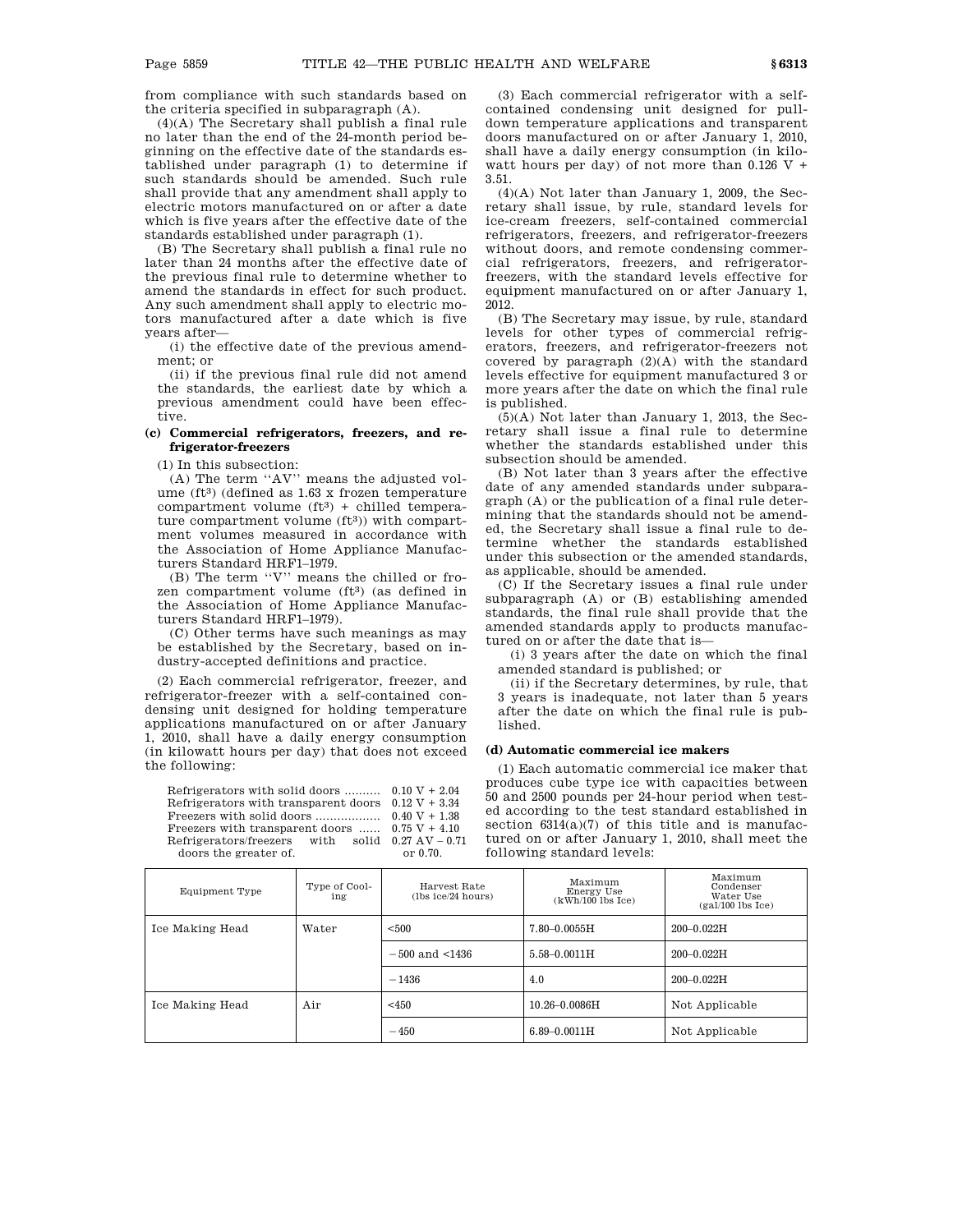from compliance with such standards based on the criteria specified in subparagraph (A).

(4)(A) The Secretary shall publish a final rule no later than the end of the 24-month period beginning on the effective date of the standards established under paragraph (1) to determine if such standards should be amended. Such rule shall provide that any amendment shall apply to electric motors manufactured on or after a date which is five years after the effective date of the standards established under paragraph (1).

(B) The Secretary shall publish a final rule no later than 24 months after the effective date of the previous final rule to determine whether to amend the standards in effect for such product. Any such amendment shall apply to electric motors manufactured after a date which is five years after—

(i) the effective date of the previous amendment; or

(ii) if the previous final rule did not amend the standards, the earliest date by which a previous amendment could have been effective.

# **(c) Commercial refrigerators, freezers, and refrigerator-freezers**

(1) In this subsection:

(A) The term ''AV'' means the adjusted volume (ft<sup>3</sup>) (defined as  $1.63$  x frozen temperature compartment volume  $(ft<sup>3</sup>)$  + chilled temperature compartment volume (ft3)) with compartment volumes measured in accordance with the Association of Home Appliance Manufacturers Standard HRF1–1979.

(B) The term ''V'' means the chilled or frozen compartment volume (ft<sup>3</sup>) (as defined in the Association of Home Appliance Manufacturers Standard HRF1–1979).

(C) Other terms have such meanings as may be established by the Secretary, based on industry-accepted definitions and practice.

(2) Each commercial refrigerator, freezer, and refrigerator-freezer with a self-contained condensing unit designed for holding temperature applications manufactured on or after January 1, 2010, shall have a daily energy consumption (in kilowatt hours per day) that does not exceed the following:

Refrigerators with solid doors ...........  $0.10 V + 2.04$ Refrigerators with transparent doors  $0.12 \text{ V} + 3.34$ Freezers with solid doors .................. 0.40 V + 1.38 Freezers with transparent doors ...... Refrigerators/freezers doors the greater of. with solid  $0.27 \text{ AV} - 0.71$ or 0.70.

(3) Each commercial refrigerator with a selfcontained condensing unit designed for pulldown temperature applications and transparent doors manufactured on or after January 1, 2010, shall have a daily energy consumption (in kilowatt hours per day) of not more than  $0.126$  V + 3.51.

(4)(A) Not later than January 1, 2009, the Secretary shall issue, by rule, standard levels for ice-cream freezers, self-contained commercial refrigerators, freezers, and refrigerator-freezers without doors, and remote condensing commercial refrigerators, freezers, and refrigeratorfreezers, with the standard levels effective for equipment manufactured on or after January 1, 2012.

(B) The Secretary may issue, by rule, standard levels for other types of commercial refrigerators, freezers, and refrigerator-freezers not covered by paragraph (2)(A) with the standard levels effective for equipment manufactured 3 or more years after the date on which the final rule is published.

(5)(A) Not later than January 1, 2013, the Secretary shall issue a final rule to determine whether the standards established under this subsection should be amended.

(B) Not later than 3 years after the effective date of any amended standards under subparagraph (A) or the publication of a final rule determining that the standards should not be amended, the Secretary shall issue a final rule to determine whether the standards established under this subsection or the amended standards, as applicable, should be amended.

(C) If the Secretary issues a final rule under subparagraph (A) or (B) establishing amended standards, the final rule shall provide that the amended standards apply to products manufactured on or after the date that is—

(i) 3 years after the date on which the final amended standard is published; or

(ii) if the Secretary determines, by rule, that 3 years is inadequate, not later than 5 years after the date on which the final rule is published.

# **(d) Automatic commercial ice makers**

(1) Each automatic commercial ice maker that produces cube type ice with capacities between 50 and 2500 pounds per 24-hour period when tested according to the test standard established in section  $6314(a)(7)$  of this title and is manufactured on or after January 1, 2010, shall meet the following standard levels:

| Equipment Type  | Type of Cool-<br>ing | Harvest Rate<br>(lbs ice/24 hours) | Maximum<br>Energy Use<br>$(kWh/100$ lbs Ice) | Maximum<br>Condenser<br>Water Use<br>$(gal/100$ lbs Ice) |  |
|-----------------|----------------------|------------------------------------|----------------------------------------------|----------------------------------------------------------|--|
| Ice Making Head | Water                | < 500                              | $7.80 - 0.0055H$                             | $200 - 0.022H$                                           |  |
|                 |                      | $-500$ and $\leq 1436$             | $5.58 - 0.0011H$                             | $200 - 0.022H$                                           |  |
|                 |                      | $-1436$                            | 4.0                                          | $200 - 0.022H$                                           |  |
| Ice Making Head | Air                  | $<$ 450                            | $10.26 - 0.0086$ H                           | Not Applicable                                           |  |
|                 |                      | $-450$                             | $6.89 - 0.0011H$                             | Not Applicable                                           |  |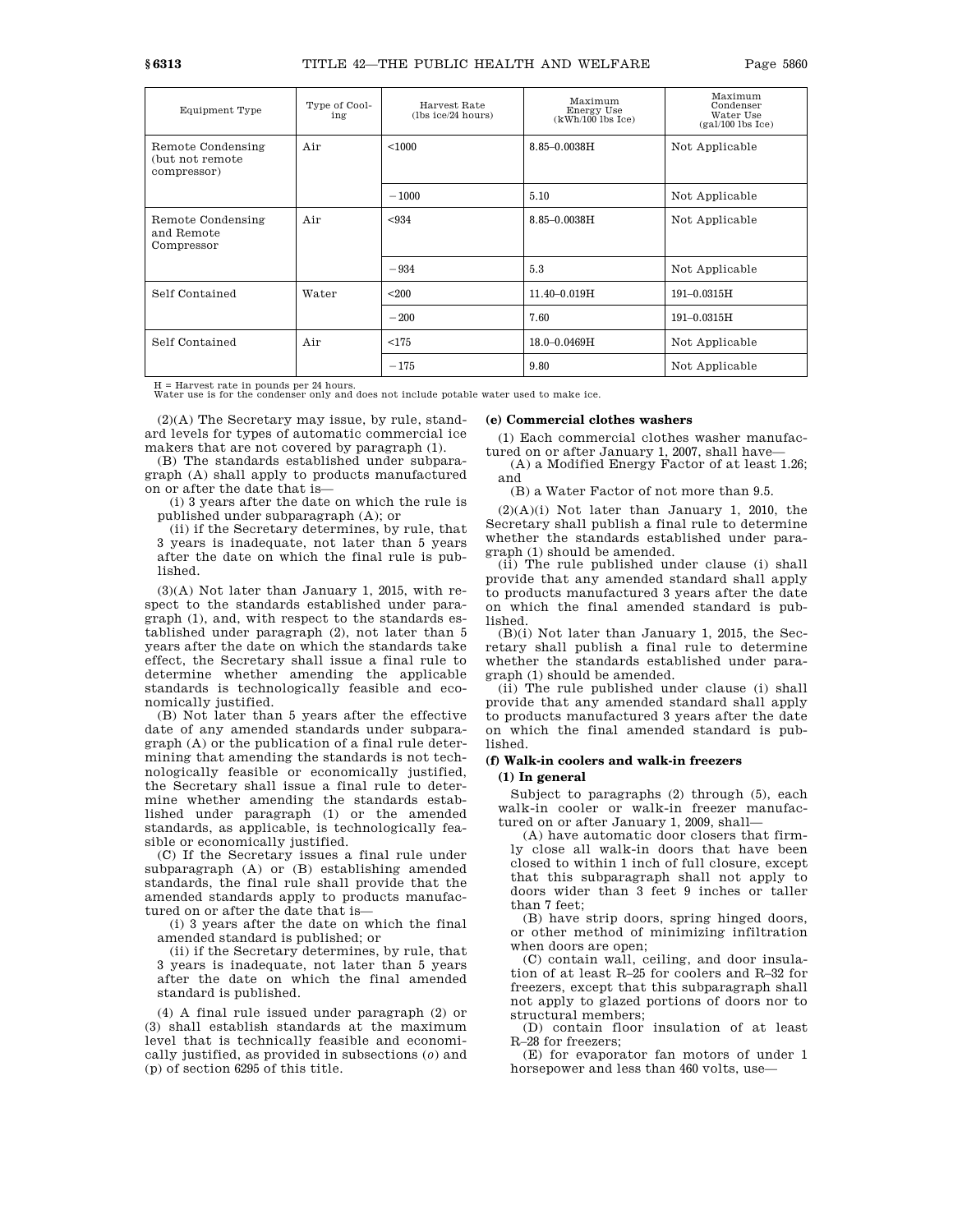| Equipment Type                                       | Type of Cool-<br>ing | Harvest Rate<br>(lbs ice/24 hours) | Maximum<br>Energy Use<br>$(kWh/100$ lbs Ice) | Maximum<br>Condenser<br>Water Use<br>$(gal/100$ lbs Ice) |
|------------------------------------------------------|----------------------|------------------------------------|----------------------------------------------|----------------------------------------------------------|
| Remote Condensing<br>(but not remote)<br>compressor) | Air                  | < 1000<br>8.85-0.0038H             |                                              | Not Applicable                                           |
|                                                      |                      | $-1000$                            | 5.10                                         | Not Applicable                                           |
| Remote Condensing<br>and Remote<br>Compressor        | Air                  | < 934                              | $8.85 - 0.0038$ H                            | Not Applicable                                           |
|                                                      |                      | $-934$                             | 5.3                                          | Not Applicable                                           |
| Self Contained                                       | Water                | < 200                              | 11.40-0.019H                                 | $191 - 0.0315H$                                          |
|                                                      |                      | $-200$                             | 7.60                                         | 191-0.0315H                                              |
| Self Contained                                       | Air                  | < 175                              | 18.0-0.0469H                                 | Not Applicable                                           |
|                                                      |                      | $-175$                             | 9.80                                         | Not Applicable                                           |

H = Harvest rate in pounds per 24 hours. Water use is for the condenser only and does not include potable water used to make ice.

(2)(A) The Secretary may issue, by rule, standard levels for types of automatic commercial ice makers that are not covered by paragraph (1).

(B) The standards established under subparagraph (A) shall apply to products manufactured on or after the date that is—

(i) 3 years after the date on which the rule is published under subparagraph (A); or

(ii) if the Secretary determines, by rule, that 3 years is inadequate, not later than 5 years after the date on which the final rule is published.

(3)(A) Not later than January 1, 2015, with respect to the standards established under paragraph (1), and, with respect to the standards established under paragraph (2), not later than 5 years after the date on which the standards take effect, the Secretary shall issue a final rule to determine whether amending the applicable standards is technologically feasible and economically justified.

(B) Not later than 5 years after the effective date of any amended standards under subparagraph (A) or the publication of a final rule determining that amending the standards is not technologically feasible or economically justified, the Secretary shall issue a final rule to determine whether amending the standards established under paragraph (1) or the amended standards, as applicable, is technologically feasible or economically justified.

(C) If the Secretary issues a final rule under subparagraph (A) or (B) establishing amended standards, the final rule shall provide that the amended standards apply to products manufactured on or after the date that is—

(i) 3 years after the date on which the final amended standard is published; or

(ii) if the Secretary determines, by rule, that 3 years is inadequate, not later than 5 years after the date on which the final amended standard is published.

(4) A final rule issued under paragraph (2) or (3) shall establish standards at the maximum level that is technically feasible and economically justified, as provided in subsections (*o*) and (p) of section 6295 of this title.

#### **(e) Commercial clothes washers**

(1) Each commercial clothes washer manufactured on or after January 1, 2007, shall have—

(A) a Modified Energy Factor of at least 1.26; and

(B) a Water Factor of not more than 9.5.

 $(2)(A)(i)$  Not later than January 1, 2010, the Secretary shall publish a final rule to determine whether the standards established under paragraph (1) should be amended.

(ii) The rule published under clause (i) shall provide that any amended standard shall apply to products manufactured 3 years after the date on which the final amended standard is published.

(B)(i) Not later than January 1, 2015, the Secretary shall publish a final rule to determine whether the standards established under paragraph (1) should be amended.

(ii) The rule published under clause (i) shall provide that any amended standard shall apply to products manufactured 3 years after the date on which the final amended standard is published.

### **(f) Walk-in coolers and walk-in freezers**

#### **(1) In general**

Subject to paragraphs (2) through (5), each walk-in cooler or walk-in freezer manufactured on or after January 1, 2009, shall—

(A) have automatic door closers that firmly close all walk-in doors that have been closed to within 1 inch of full closure, except that this subparagraph shall not apply to doors wider than 3 feet 9 inches or taller than 7 feet;

(B) have strip doors, spring hinged doors, or other method of minimizing infiltration when doors are open;

(C) contain wall, ceiling, and door insulation of at least R–25 for coolers and R–32 for freezers, except that this subparagraph shall not apply to glazed portions of doors nor to structural members;

(D) contain floor insulation of at least R–28 for freezers;

(E) for evaporator fan motors of under 1 horsepower and less than 460 volts, use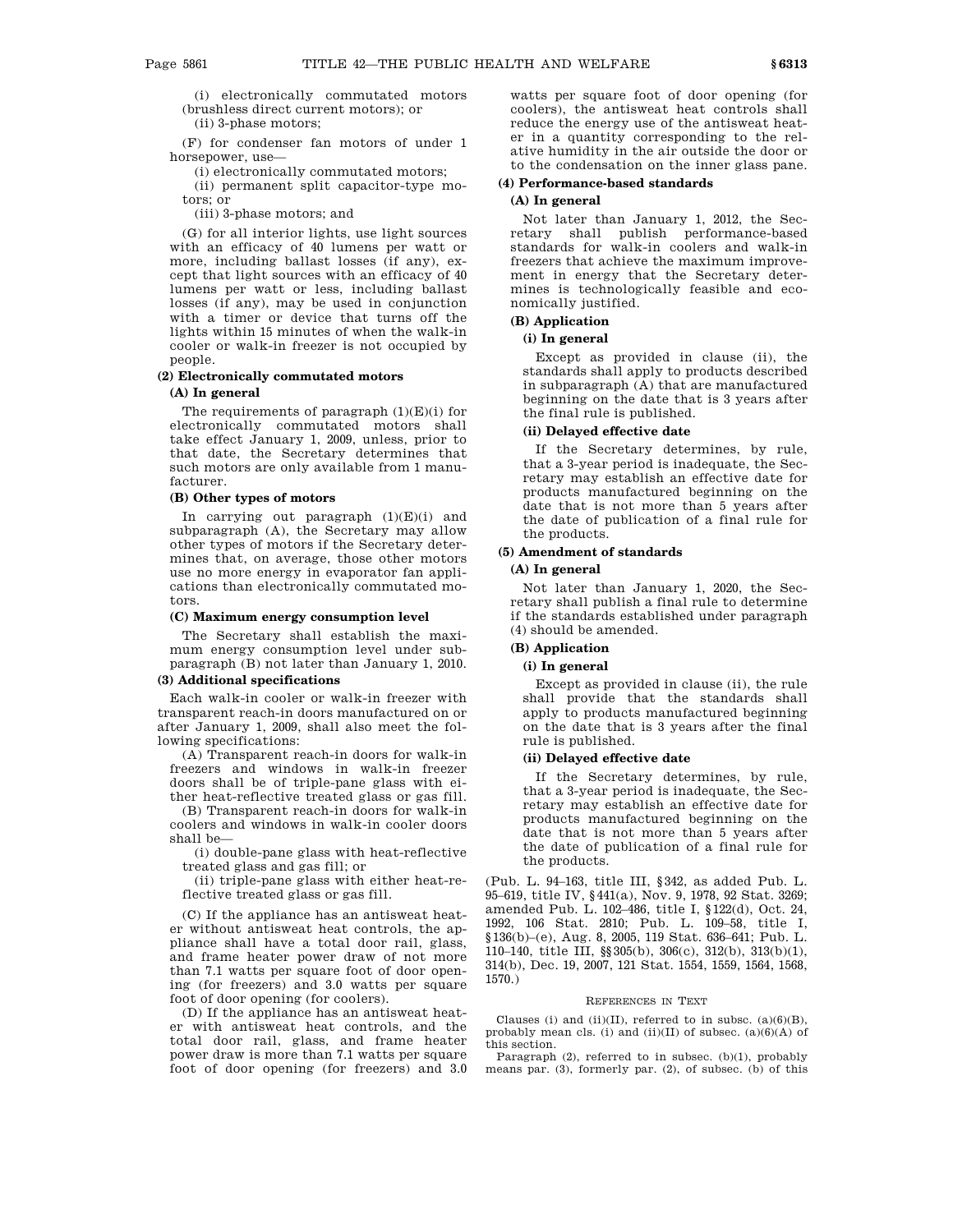(i) electronically commutated motors

(brushless direct current motors); or

(ii) 3-phase motors;

(F) for condenser fan motors of under 1 horsepower, use—

(i) electronically commutated motors;

(ii) permanent split capacitor-type motors; or

(iii) 3-phase motors; and

(G) for all interior lights, use light sources with an efficacy of 40 lumens per watt or more, including ballast losses (if any), except that light sources with an efficacy of 40 lumens per watt or less, including ballast losses (if any), may be used in conjunction with a timer or device that turns off the lights within 15 minutes of when the walk-in cooler or walk-in freezer is not occupied by people.

### **(2) Electronically commutated motors**

### **(A) In general**

The requirements of paragraph  $(1)(E)(i)$  for electronically commutated motors shall take effect January 1, 2009, unless, prior to that date, the Secretary determines that such motors are only available from 1 manufacturer.

# **(B) Other types of motors**

In carrying out paragraph  $(1)(E)(i)$  and subparagraph (A), the Secretary may allow other types of motors if the Secretary determines that, on average, those other motors use no more energy in evaporator fan applications than electronically commutated motors.

### **(C) Maximum energy consumption level**

The Secretary shall establish the maximum energy consumption level under subparagraph (B) not later than January 1, 2010.

#### **(3) Additional specifications**

Each walk-in cooler or walk-in freezer with transparent reach-in doors manufactured on or after January 1, 2009, shall also meet the following specifications:

(A) Transparent reach-in doors for walk-in freezers and windows in walk-in freezer doors shall be of triple-pane glass with either heat-reflective treated glass or gas fill.

(B) Transparent reach-in doors for walk-in coolers and windows in walk-in cooler doors shall be—

(i) double-pane glass with heat-reflective treated glass and gas fill; or

(ii) triple-pane glass with either heat-reflective treated glass or gas fill.

(C) If the appliance has an antisweat heater without antisweat heat controls, the appliance shall have a total door rail, glass, and frame heater power draw of not more than 7.1 watts per square foot of door opening (for freezers) and 3.0 watts per square foot of door opening (for coolers).

(D) If the appliance has an antisweat heater with antisweat heat controls, and the total door rail, glass, and frame heater power draw is more than 7.1 watts per square foot of door opening (for freezers) and 3.0 watts per square foot of door opening (for coolers), the antisweat heat controls shall reduce the energy use of the antisweat heater in a quantity corresponding to the relative humidity in the air outside the door or to the condensation on the inner glass pane.

# **(4) Performance-based standards**

# **(A) In general**

Not later than January 1, 2012, the Secretary shall publish performance-based standards for walk-in coolers and walk-in freezers that achieve the maximum improvement in energy that the Secretary determines is technologically feasible and economically justified.

# **(B) Application**

# **(i) In general**

Except as provided in clause (ii), the standards shall apply to products described in subparagraph (A) that are manufactured beginning on the date that is 3 years after the final rule is published.

#### **(ii) Delayed effective date**

If the Secretary determines, by rule, that a 3-year period is inadequate, the Secretary may establish an effective date for products manufactured beginning on the date that is not more than 5 years after the date of publication of a final rule for the products.

### **(5) Amendment of standards**

# **(A) In general**

Not later than January 1, 2020, the Secretary shall publish a final rule to determine if the standards established under paragraph (4) should be amended.

# **(B) Application**

# **(i) In general**

Except as provided in clause (ii), the rule shall provide that the standards shall apply to products manufactured beginning on the date that is 3 years after the final rule is published.

# **(ii) Delayed effective date**

If the Secretary determines, by rule, that a 3-year period is inadequate, the Secretary may establish an effective date for products manufactured beginning on the date that is not more than 5 years after the date of publication of a final rule for the products.

(Pub. L. 94–163, title III, §342, as added Pub. L. 95–619, title IV, §441(a), Nov. 9, 1978, 92 Stat. 3269; amended Pub. L. 102–486, title I, §122(d), Oct. 24, 1992, 106 Stat. 2810; Pub. L. 109–58, title I, §136(b)–(e), Aug. 8, 2005, 119 Stat. 636–641; Pub. L. 110–140, title III, §§305(b), 306(c), 312(b), 313(b)(1), 314(b), Dec. 19, 2007, 121 Stat. 1554, 1559, 1564, 1568, 1570.)

### REFERENCES IN TEXT

Clauses (i) and (ii)(II), referred to in subsc.  $(a)(6)(B)$ , probably mean cls. (i) and (ii)(II) of subsec.  $(a)(6)(A)$  of this section.

Paragraph (2), referred to in subsec. (b)(1), probably means par. (3), formerly par. (2), of subsec. (b) of this